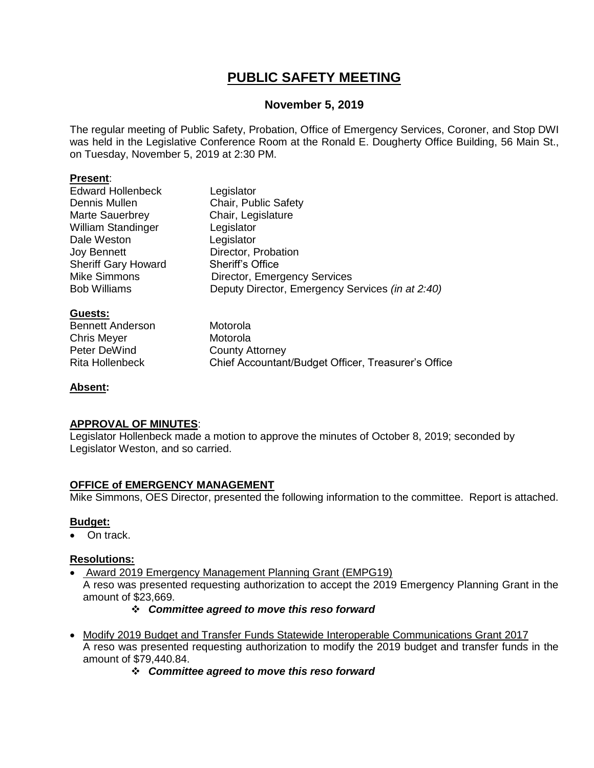# **PUBLIC SAFETY MEETING**

### **November 5, 2019**

The regular meeting of Public Safety, Probation, Office of Emergency Services, Coroner, and Stop DWI was held in the Legislative Conference Room at the Ronald E. Dougherty Office Building, 56 Main St., on Tuesday, November 5, 2019 at 2:30 PM.

### **Present**:

| <b>Edward Hollenbeck</b>   | Legislator                                       |
|----------------------------|--------------------------------------------------|
| Dennis Mullen              | Chair, Public Safety                             |
| <b>Marte Sauerbrey</b>     | Chair, Legislature                               |
| <b>William Standinger</b>  | Legislator                                       |
| Dale Weston                | Legislator                                       |
| <b>Joy Bennett</b>         | Director, Probation                              |
| <b>Sheriff Gary Howard</b> | <b>Sheriff's Office</b>                          |
| <b>Mike Simmons</b>        | <b>Director, Emergency Services</b>              |
| <b>Bob Williams</b>        | Deputy Director, Emergency Services (in at 2:40) |
|                            |                                                  |

### **Guests:**

Bennett Anderson Motorola Chris Meyer **Motorola** Peter DeWind County Attorney

Rita Hollenbeck Chief Accountant/Budget Officer, Treasurer's Office

### **Absent:**

### **APPROVAL OF MINUTES**:

Legislator Hollenbeck made a motion to approve the minutes of October 8, 2019; seconded by Legislator Weston, and so carried.

### **OFFICE of EMERGENCY MANAGEMENT**

Mike Simmons, OES Director, presented the following information to the committee. Report is attached.

#### **Budget:**

On track.

### **Resolutions:**

Award 2019 Emergency Management Planning Grant (EMPG19)

A reso was presented requesting authorization to accept the 2019 Emergency Planning Grant in the amount of \$23,669.

### *Committee agreed to move this reso forward*

- Modify 2019 Budget and Transfer Funds Statewide Interoperable Communications Grant 2017 A reso was presented requesting authorization to modify the 2019 budget and transfer funds in the amount of \$79,440.84.
	- *Committee agreed to move this reso forward*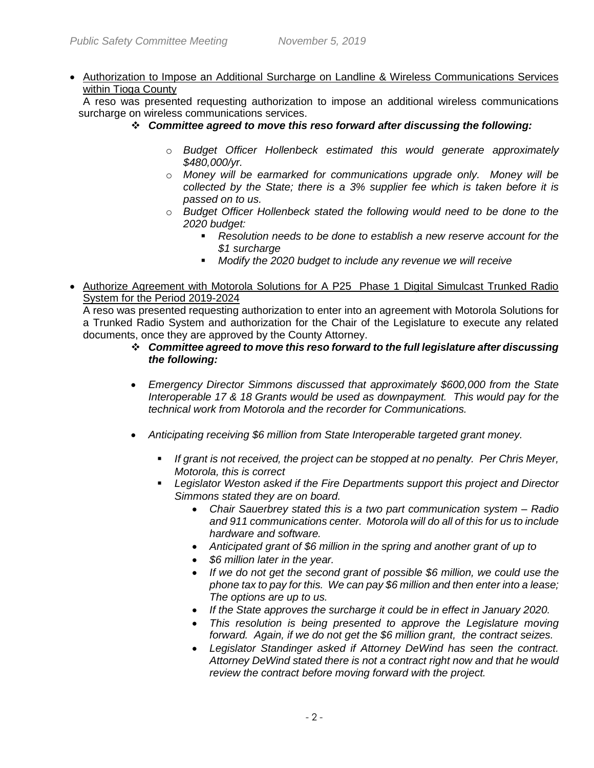• Authorization to Impose an Additional Surcharge on Landline & Wireless Communications Services within Tioga County

A reso was presented requesting authorization to impose an additional wireless communications surcharge on wireless communications services.

- *Committee agreed to move this reso forward after discussing the following:*
	- o *Budget Officer Hollenbeck estimated this would generate approximately \$480,000/yr.*
	- o *Money will be earmarked for communications upgrade only. Money will be collected by the State; there is a 3% supplier fee which is taken before it is passed on to us.*
	- o *Budget Officer Hollenbeck stated the following would need to be done to the 2020 budget:*
		- *Resolution needs to be done to establish a new reserve account for the \$1 surcharge*
		- *Modify the 2020 budget to include any revenue we will receive*
- Authorize Agreement with Motorola Solutions for A P25 Phase 1 Digital Simulcast Trunked Radio System for the Period 2019-2024

A reso was presented requesting authorization to enter into an agreement with Motorola Solutions for a Trunked Radio System and authorization for the Chair of the Legislature to execute any related documents, once they are approved by the County Attorney.

- *Committee agreed to move this reso forward to the full legislature after discussing the following:*
- *Emergency Director Simmons discussed that approximately \$600,000 from the State Interoperable 17 & 18 Grants would be used as downpayment. This would pay for the technical work from Motorola and the recorder for Communications.*
- *Anticipating receiving \$6 million from State Interoperable targeted grant money.*
	- *If grant is not received, the project can be stopped at no penalty. Per Chris Meyer, Motorola, this is correct*
	- *Legislator Weston asked if the Fire Departments support this project and Director Simmons stated they are on board.* 
		- *Chair Sauerbrey stated this is a two part communication system – Radio and 911 communications center. Motorola will do all of this for us to include hardware and software.*
		- *Anticipated grant of \$6 million in the spring and another grant of up to*
		- *\$6 million later in the year.*
		- *If we do not get the second grant of possible \$6 million, we could use the phone tax to pay for this. We can pay \$6 million and then enter into a lease; The options are up to us.*
		- *If the State approves the surcharge it could be in effect in January 2020.*
		- *This resolution is being presented to approve the Legislature moving forward. Again, if we do not get the \$6 million grant, the contract seizes.*
		- *Legislator Standinger asked if Attorney DeWind has seen the contract. Attorney DeWind stated there is not a contract right now and that he would review the contract before moving forward with the project.*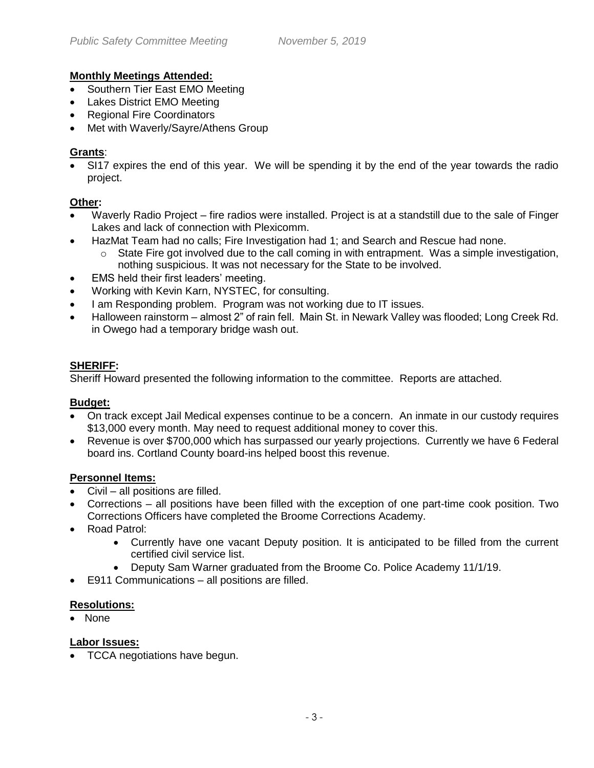### **Monthly Meetings Attended:**

- Southern Tier East EMO Meeting
- Lakes District EMO Meeting
- Regional Fire Coordinators
- Met with Waverly/Sayre/Athens Group

### **Grants**:

 SI17 expires the end of this year. We will be spending it by the end of the year towards the radio project.

### **Other:**

- Waverly Radio Project fire radios were installed. Project is at a standstill due to the sale of Finger Lakes and lack of connection with Plexicomm.
- HazMat Team had no calls; Fire Investigation had 1; and Search and Rescue had none.
	- $\circ$  State Fire got involved due to the call coming in with entrapment. Was a simple investigation, nothing suspicious. It was not necessary for the State to be involved.
- EMS held their first leaders' meeting.
- Working with Kevin Karn, NYSTEC, for consulting.
- I am Responding problem. Program was not working due to IT issues.
- Halloween rainstorm almost 2" of rain fell. Main St. in Newark Valley was flooded; Long Creek Rd. in Owego had a temporary bridge wash out.

### **SHERIFF:**

Sheriff Howard presented the following information to the committee. Reports are attached.

### **Budget:**

- On track except Jail Medical expenses continue to be a concern. An inmate in our custody requires \$13,000 every month. May need to request additional money to cover this.
- Revenue is over \$700,000 which has surpassed our yearly projections. Currently we have 6 Federal board ins. Cortland County board-ins helped boost this revenue.

### **Personnel Items:**

- Civil all positions are filled.
- Corrections all positions have been filled with the exception of one part-time cook position. Two Corrections Officers have completed the Broome Corrections Academy.
- Road Patrol:
	- Currently have one vacant Deputy position. It is anticipated to be filled from the current certified civil service list.
	- Deputy Sam Warner graduated from the Broome Co. Police Academy 11/1/19.
- E911 Communications all positions are filled.

### **Resolutions:**

• None

### **Labor Issues:**

• TCCA negotiations have begun.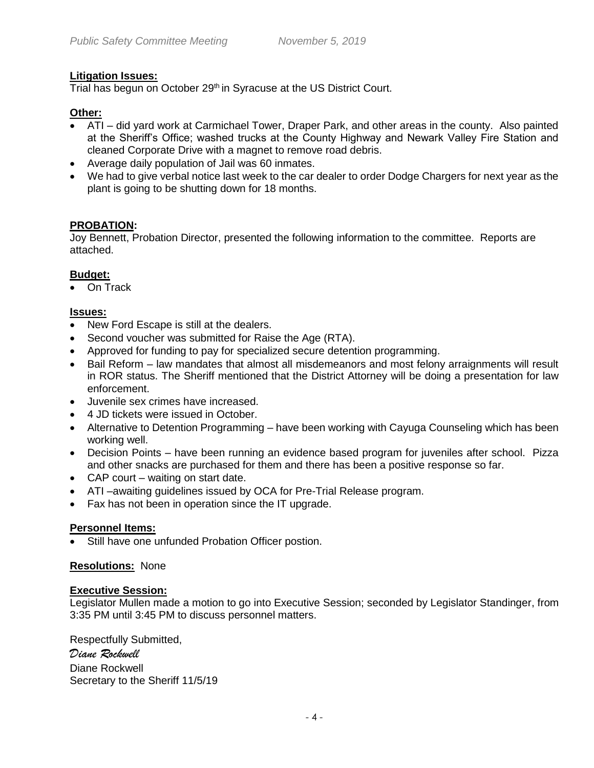### **Litigation Issues:**

Trial has begun on October 29<sup>th</sup> in Syracuse at the US District Court.

### **Other:**

- ATI did yard work at Carmichael Tower, Draper Park, and other areas in the county. Also painted at the Sheriff's Office; washed trucks at the County Highway and Newark Valley Fire Station and cleaned Corporate Drive with a magnet to remove road debris.
- Average daily population of Jail was 60 inmates.
- We had to give verbal notice last week to the car dealer to order Dodge Chargers for next year as the plant is going to be shutting down for 18 months.

### **PROBATION:**

Joy Bennett, Probation Director, presented the following information to the committee. Reports are attached.

### **Budget:**

On Track

### **Issues:**

- New Ford Escape is still at the dealers.
- Second voucher was submitted for Raise the Age (RTA).
- Approved for funding to pay for specialized secure detention programming.
- Bail Reform law mandates that almost all misdemeanors and most felony arraignments will result in ROR status. The Sheriff mentioned that the District Attorney will be doing a presentation for law enforcement.
- Juvenile sex crimes have increased.
- 4 JD tickets were issued in October.
- Alternative to Detention Programming have been working with Cayuga Counseling which has been working well.
- Decision Points have been running an evidence based program for juveniles after school. Pizza and other snacks are purchased for them and there has been a positive response so far.
- CAP court waiting on start date.
- ATI –awaiting guidelines issued by OCA for Pre-Trial Release program.
- Fax has not been in operation since the IT upgrade.

### **Personnel Items:**

Still have one unfunded Probation Officer postion.

### **Resolutions:** None

### **Executive Session:**

Legislator Mullen made a motion to go into Executive Session; seconded by Legislator Standinger, from 3:35 PM until 3:45 PM to discuss personnel matters.

Respectfully Submitted, *Diane Rockwell* Diane Rockwell Secretary to the Sheriff 11/5/19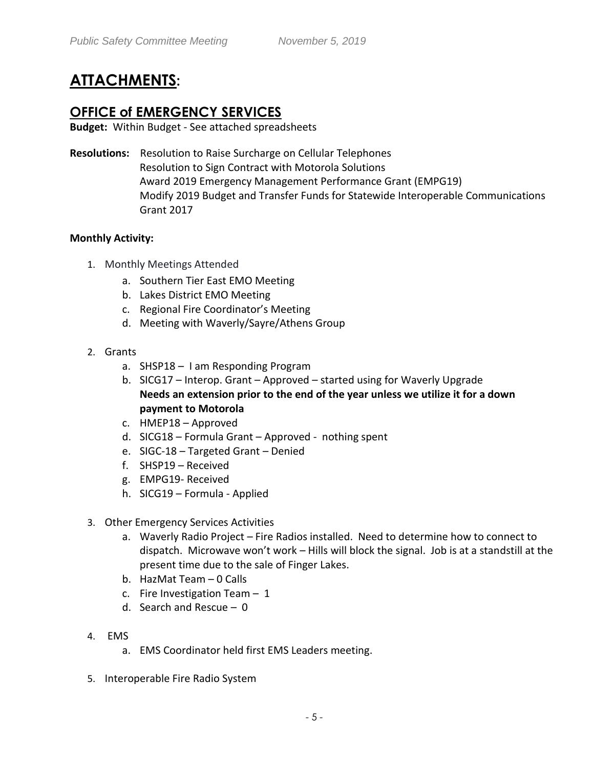# **ATTACHMENTS:**

## **OFFICE of EMERGENCY SERVICES**

**Budget:** Within Budget - See attached spreadsheets

**Resolutions:** Resolution to Raise Surcharge on Cellular Telephones Resolution to Sign Contract with Motorola Solutions Award 2019 Emergency Management Performance Grant (EMPG19) Modify 2019 Budget and Transfer Funds for Statewide Interoperable Communications Grant 2017

### **Monthly Activity:**

- 1. Monthly Meetings Attended
	- a. Southern Tier East EMO Meeting
	- b. Lakes District EMO Meeting
	- c. Regional Fire Coordinator's Meeting
	- d. Meeting with Waverly/Sayre/Athens Group
- 2. Grants
	- a. SHSP18 I am Responding Program
	- b. SICG17 Interop. Grant Approved started using for Waverly Upgrade **Needs an extension prior to the end of the year unless we utilize it for a down payment to Motorola**
	- c. HMEP18 Approved
	- d. SICG18 Formula Grant Approved nothing spent
	- e. SIGC-18 Targeted Grant Denied
	- f. SHSP19 Received
	- g. EMPG19- Received
	- h. SICG19 Formula Applied
- 3. Other Emergency Services Activities
	- a. Waverly Radio Project Fire Radios installed. Need to determine how to connect to dispatch. Microwave won't work – Hills will block the signal. Job is at a standstill at the present time due to the sale of Finger Lakes.
	- b. HazMat Team 0 Calls
	- c. Fire Investigation Team 1
	- d. Search and Rescue 0
- 4. EMS
	- a. EMS Coordinator held first EMS Leaders meeting.
- 5. Interoperable Fire Radio System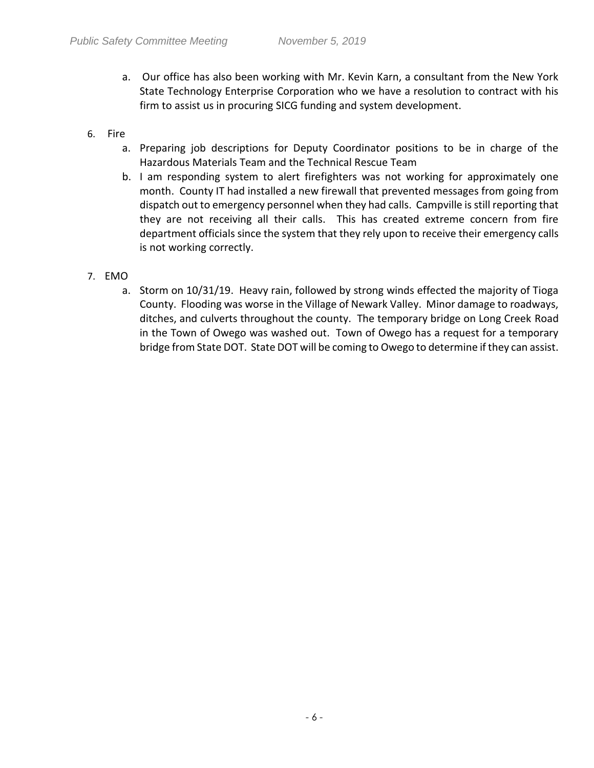- a. Our office has also been working with Mr. Kevin Karn, a consultant from the New York State Technology Enterprise Corporation who we have a resolution to contract with his firm to assist us in procuring SICG funding and system development.
- 6. Fire
	- a. Preparing job descriptions for Deputy Coordinator positions to be in charge of the Hazardous Materials Team and the Technical Rescue Team
	- b. I am responding system to alert firefighters was not working for approximately one month. County IT had installed a new firewall that prevented messages from going from dispatch out to emergency personnel when they had calls. Campville is still reporting that they are not receiving all their calls. This has created extreme concern from fire department officials since the system that they rely upon to receive their emergency calls is not working correctly.
- 7. EMO
	- a. Storm on 10/31/19. Heavy rain, followed by strong winds effected the majority of Tioga County. Flooding was worse in the Village of Newark Valley. Minor damage to roadways, ditches, and culverts throughout the county. The temporary bridge on Long Creek Road in the Town of Owego was washed out. Town of Owego has a request for a temporary bridge from State DOT. State DOT will be coming to Owego to determine if they can assist.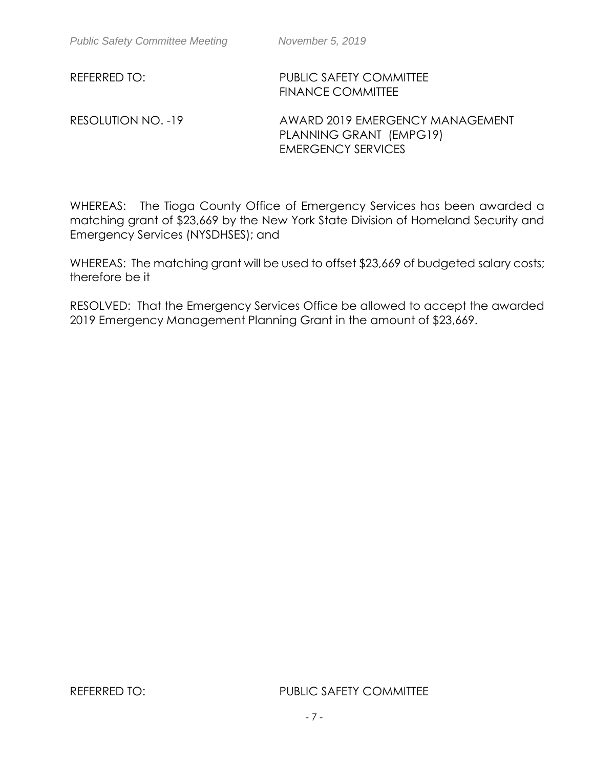REFERRED TO: PUBLIC SAFETY COMMITTEE FINANCE COMMITTEE

RESOLUTION NO. -19 AWARD 2019 EMERGENCY MANAGEMENT PLANNING GRANT (EMPG19) EMERGENCY SERVICES

WHEREAS: The Tioga County Office of Emergency Services has been awarded a matching grant of \$23,669 by the New York State Division of Homeland Security and Emergency Services (NYSDHSES); and

WHEREAS: The matching grant will be used to offset \$23,669 of budgeted salary costs; therefore be it

RESOLVED: That the Emergency Services Office be allowed to accept the awarded 2019 Emergency Management Planning Grant in the amount of \$23,669.

REFERRED TO: PUBLIC SAFETY COMMITTEE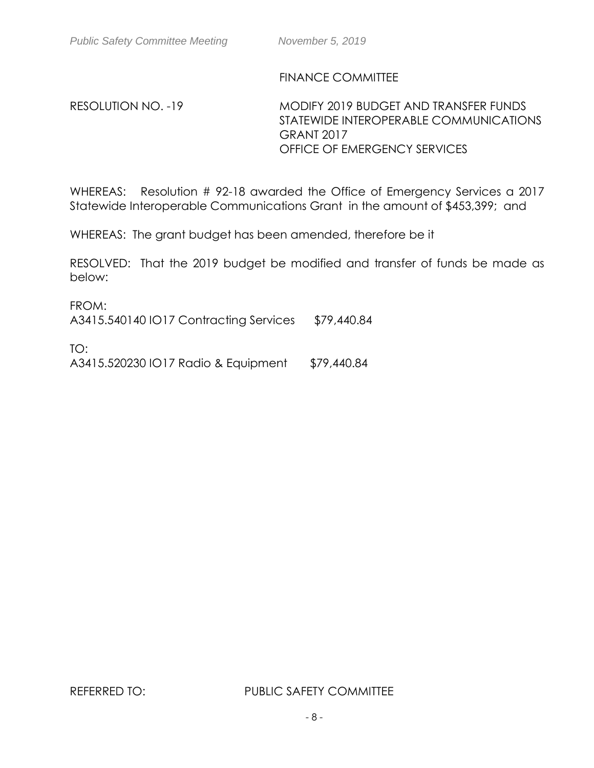## FINANCE COMMITTEE

RESOLUTION NO. -19 MODIFY 2019 BUDGET AND TRANSFER FUNDS STATEWIDE INTEROPERABLE COMMUNICATIONS GRANT 2017 OFFICE OF EMERGENCY SERVICES

WHEREAS: Resolution # 92-18 awarded the Office of Emergency Services a 2017 Statewide Interoperable Communications Grant in the amount of \$453,399; and

WHEREAS: The grant budget has been amended, therefore be it

RESOLVED: That the 2019 budget be modified and transfer of funds be made as below:

FROM: A3415.540140 IO17 Contracting Services \$79,440.84 TO:

A3415.520230 IO17 Radio & Equipment \$79,440.84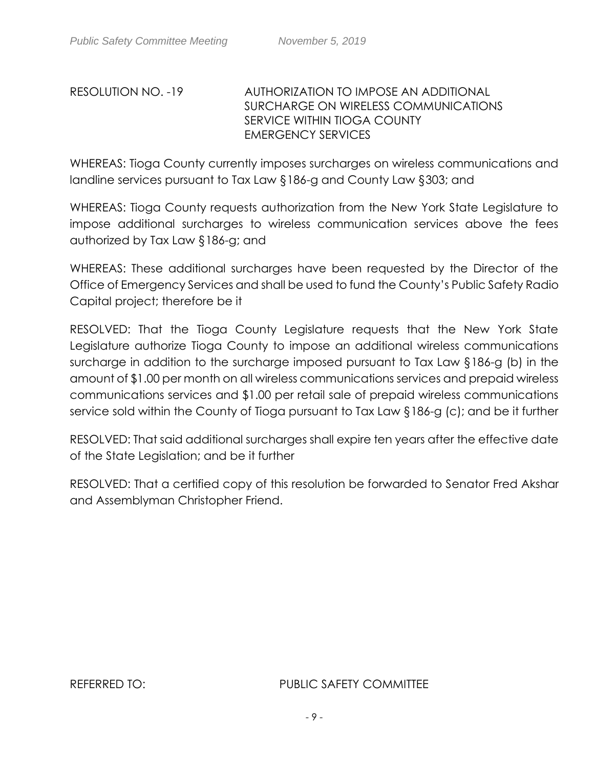## RESOLUTION NO. -19 AUTHORIZATION TO IMPOSE AN ADDITIONAL SURCHARGE ON WIRELESS COMMUNICATIONS SERVICE WITHIN TIOGA COUNTY EMERGENCY SERVICES

WHEREAS: Tioga County currently imposes surcharges on wireless communications and landline services pursuant to Tax Law §186-g and County Law §303; and

WHEREAS: Tioga County requests authorization from the New York State Legislature to impose additional surcharges to wireless communication services above the fees authorized by Tax Law §186-g; and

WHEREAS: These additional surcharges have been requested by the Director of the Office of Emergency Services and shall be used to fund the County's Public Safety Radio Capital project; therefore be it

RESOLVED: That the Tioga County Legislature requests that the New York State Legislature authorize Tioga County to impose an additional wireless communications surcharge in addition to the surcharge imposed pursuant to Tax Law §186-g (b) in the amount of \$1.00 per month on all wireless communications services and prepaid wireless communications services and \$1.00 per retail sale of prepaid wireless communications service sold within the County of Tioga pursuant to Tax Law §186-g (c); and be it further

RESOLVED: That said additional surcharges shall expire ten years after the effective date of the State Legislation; and be it further

RESOLVED: That a certified copy of this resolution be forwarded to Senator Fred Akshar and Assemblyman Christopher Friend.

REFERRED TO: PUBLIC SAFETY COMMITTEE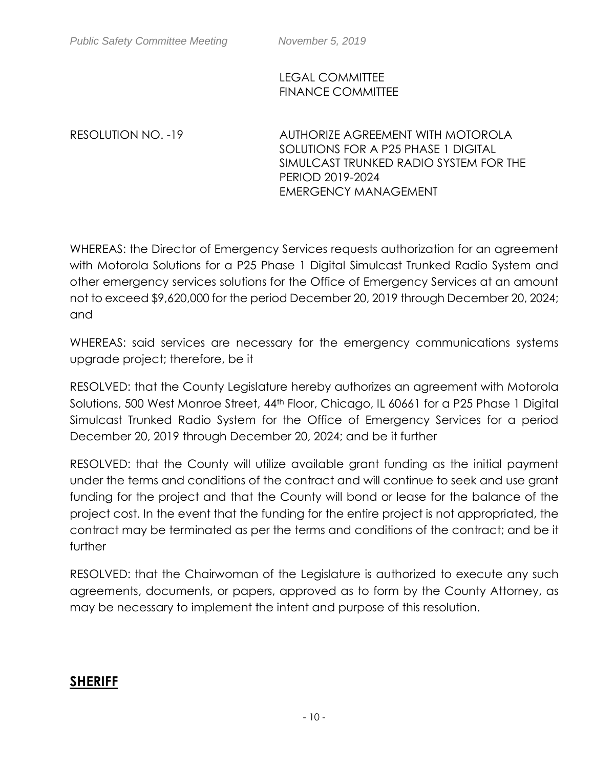## LEGAL COMMITTEE FINANCE COMMITTEE

RESOLUTION NO. -19 AUTHORIZE AGREEMENT WITH MOTOROLA SOLUTIONS FOR A P25 PHASE 1 DIGITAL SIMULCAST TRUNKED RADIO SYSTEM FOR THE PERIOD 2019-2024 EMERGENCY MANAGEMENT

WHEREAS: the Director of Emergency Services requests authorization for an agreement with Motorola Solutions for a P25 Phase 1 Digital Simulcast Trunked Radio System and other emergency services solutions for the Office of Emergency Services at an amount not to exceed \$9,620,000 for the period December 20, 2019 through December 20, 2024; and

WHEREAS: said services are necessary for the emergency communications systems upgrade project; therefore, be it

RESOLVED: that the County Legislature hereby authorizes an agreement with Motorola Solutions, 500 West Monroe Street, 44<sup>th</sup> Floor, Chicago, IL 60661 for a P25 Phase 1 Digital Simulcast Trunked Radio System for the Office of Emergency Services for a period December 20, 2019 through December 20, 2024; and be it further

RESOLVED: that the County will utilize available grant funding as the initial payment under the terms and conditions of the contract and will continue to seek and use grant funding for the project and that the County will bond or lease for the balance of the project cost. In the event that the funding for the entire project is not appropriated, the contract may be terminated as per the terms and conditions of the contract; and be it further

RESOLVED: that the Chairwoman of the Legislature is authorized to execute any such agreements, documents, or papers, approved as to form by the County Attorney, as may be necessary to implement the intent and purpose of this resolution.

# **SHERIFF**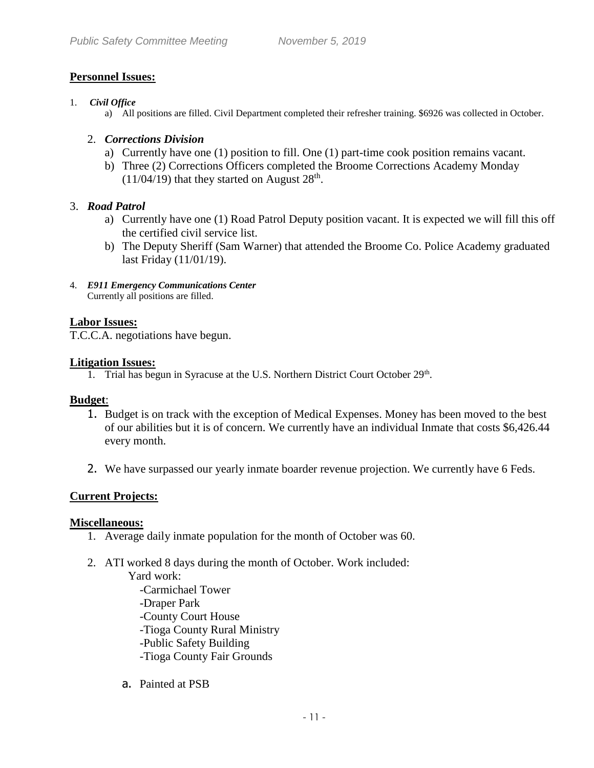## **Personnel Issues:**

### 1. *Civil Office*

a) All positions are filled. Civil Department completed their refresher training. \$6926 was collected in October.

### 2. *Corrections Division*

- a) Currently have one (1) position to fill. One (1) part-time cook position remains vacant.
- b) Three (2) Corrections Officers completed the Broome Corrections Academy Monday  $(11/04/19)$  that they started on August  $28<sup>th</sup>$ .

## 3. *Road Patrol*

- a) Currently have one (1) Road Patrol Deputy position vacant. It is expected we will fill this off the certified civil service list.
- b) The Deputy Sheriff (Sam Warner) that attended the Broome Co. Police Academy graduated last Friday (11/01/19).
- 4. *E911 Emergency Communications Center* Currently all positions are filled.

## **Labor Issues:**

T.C.C.A. negotiations have begun.

### **Litigation Issues:**

1. Trial has begun in Syracuse at the U.S. Northern District Court October 29<sup>th</sup>.

### **Budget**:

- 1. Budget is on track with the exception of Medical Expenses. Money has been moved to the best of our abilities but it is of concern. We currently have an individual Inmate that costs \$6,426.44 every month.
- 2. We have surpassed our yearly inmate boarder revenue projection. We currently have 6 Feds.

## **Current Projects:**

### **Miscellaneous:**

- 1. Average daily inmate population for the month of October was 60.
- 2. ATI worked 8 days during the month of October. Work included:

Yard work:

-Carmichael Tower -Draper Park -County Court House -Tioga County Rural Ministry -Public Safety Building -Tioga County Fair Grounds

a. Painted at PSB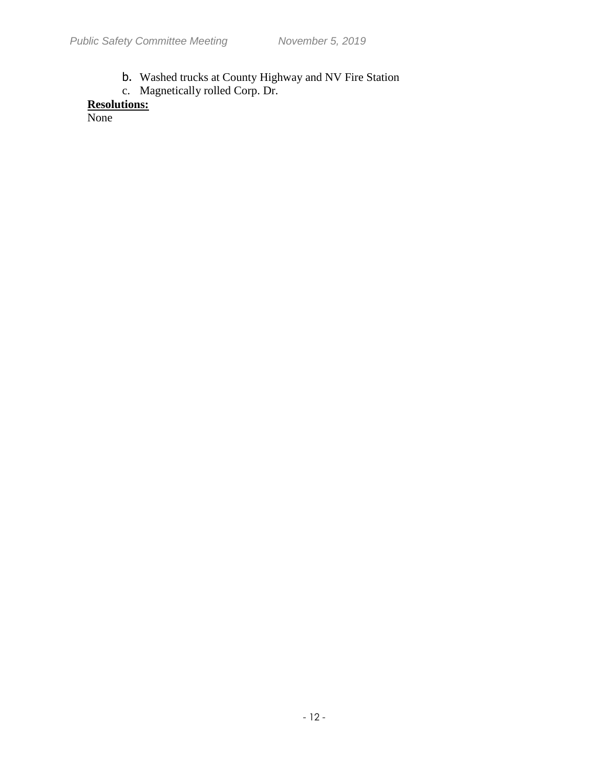- b. Washed trucks at County Highway and NV Fire Station
- c. Magnetically rolled Corp. Dr.

# **Resolutions:**

None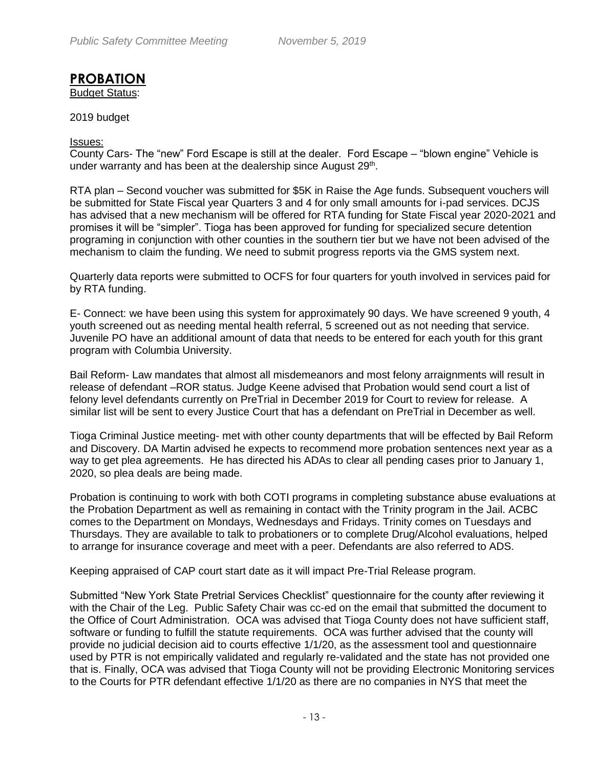# **PROBATION**

Budget Status:

### 2019 budget

### Issues:

County Cars- The "new" Ford Escape is still at the dealer. Ford Escape – "blown engine" Vehicle is under warranty and has been at the dealership since August 29<sup>th</sup>.

RTA plan – Second voucher was submitted for \$5K in Raise the Age funds. Subsequent vouchers will be submitted for State Fiscal year Quarters 3 and 4 for only small amounts for i-pad services. DCJS has advised that a new mechanism will be offered for RTA funding for State Fiscal year 2020-2021 and promises it will be "simpler". Tioga has been approved for funding for specialized secure detention programing in conjunction with other counties in the southern tier but we have not been advised of the mechanism to claim the funding. We need to submit progress reports via the GMS system next.

Quarterly data reports were submitted to OCFS for four quarters for youth involved in services paid for by RTA funding.

E- Connect: we have been using this system for approximately 90 days. We have screened 9 youth, 4 youth screened out as needing mental health referral, 5 screened out as not needing that service. Juvenile PO have an additional amount of data that needs to be entered for each youth for this grant program with Columbia University.

Bail Reform- Law mandates that almost all misdemeanors and most felony arraignments will result in release of defendant –ROR status. Judge Keene advised that Probation would send court a list of felony level defendants currently on PreTrial in December 2019 for Court to review for release. A similar list will be sent to every Justice Court that has a defendant on PreTrial in December as well.

Tioga Criminal Justice meeting- met with other county departments that will be effected by Bail Reform and Discovery. DA Martin advised he expects to recommend more probation sentences next year as a way to get plea agreements. He has directed his ADAs to clear all pending cases prior to January 1, 2020, so plea deals are being made.

Probation is continuing to work with both COTI programs in completing substance abuse evaluations at the Probation Department as well as remaining in contact with the Trinity program in the Jail. ACBC comes to the Department on Mondays, Wednesdays and Fridays. Trinity comes on Tuesdays and Thursdays. They are available to talk to probationers or to complete Drug/Alcohol evaluations, helped to arrange for insurance coverage and meet with a peer. Defendants are also referred to ADS.

Keeping appraised of CAP court start date as it will impact Pre-Trial Release program.

Submitted "New York State Pretrial Services Checklist" questionnaire for the county after reviewing it with the Chair of the Leg. Public Safety Chair was cc-ed on the email that submitted the document to the Office of Court Administration. OCA was advised that Tioga County does not have sufficient staff, software or funding to fulfill the statute requirements. OCA was further advised that the county will provide no judicial decision aid to courts effective 1/1/20, as the assessment tool and questionnaire used by PTR is not empirically validated and regularly re-validated and the state has not provided one that is. Finally, OCA was advised that Tioga County will not be providing Electronic Monitoring services to the Courts for PTR defendant effective 1/1/20 as there are no companies in NYS that meet the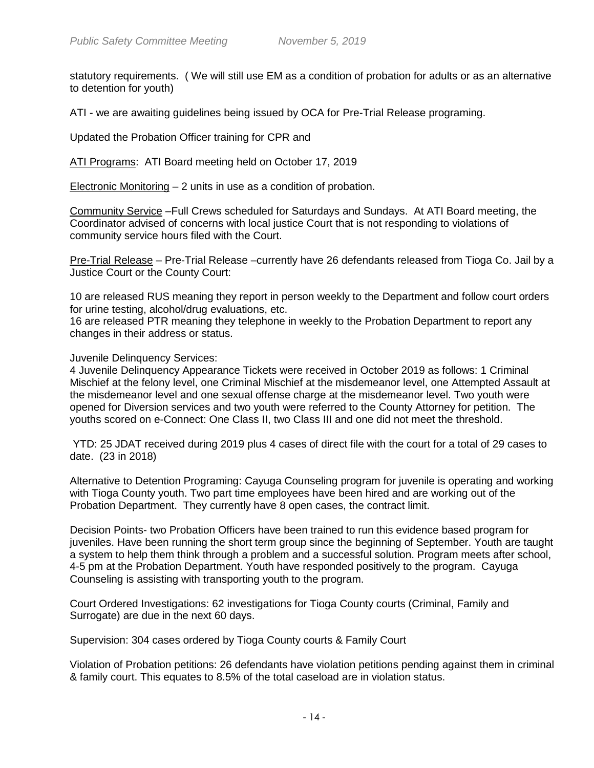statutory requirements. ( We will still use EM as a condition of probation for adults or as an alternative to detention for youth)

ATI - we are awaiting guidelines being issued by OCA for Pre-Trial Release programing.

Updated the Probation Officer training for CPR and

ATI Programs: ATI Board meeting held on October 17, 2019

Electronic Monitoring – 2 units in use as a condition of probation.

Community Service –Full Crews scheduled for Saturdays and Sundays. At ATI Board meeting, the Coordinator advised of concerns with local justice Court that is not responding to violations of community service hours filed with the Court.

Pre-Trial Release - Pre-Trial Release - currently have 26 defendants released from Tioga Co. Jail by a Justice Court or the County Court:

10 are released RUS meaning they report in person weekly to the Department and follow court orders for urine testing, alcohol/drug evaluations, etc.

16 are released PTR meaning they telephone in weekly to the Probation Department to report any changes in their address or status.

### Juvenile Delinquency Services:

4 Juvenile Delinquency Appearance Tickets were received in October 2019 as follows: 1 Criminal Mischief at the felony level, one Criminal Mischief at the misdemeanor level, one Attempted Assault at the misdemeanor level and one sexual offense charge at the misdemeanor level. Two youth were opened for Diversion services and two youth were referred to the County Attorney for petition. The youths scored on e-Connect: One Class II, two Class III and one did not meet the threshold.

YTD: 25 JDAT received during 2019 plus 4 cases of direct file with the court for a total of 29 cases to date. (23 in 2018)

Alternative to Detention Programing: Cayuga Counseling program for juvenile is operating and working with Tioga County youth. Two part time employees have been hired and are working out of the Probation Department. They currently have 8 open cases, the contract limit.

Decision Points- two Probation Officers have been trained to run this evidence based program for juveniles. Have been running the short term group since the beginning of September. Youth are taught a system to help them think through a problem and a successful solution. Program meets after school, 4-5 pm at the Probation Department. Youth have responded positively to the program. Cayuga Counseling is assisting with transporting youth to the program.

Court Ordered Investigations: 62 investigations for Tioga County courts (Criminal, Family and Surrogate) are due in the next 60 days.

Supervision: 304 cases ordered by Tioga County courts & Family Court

Violation of Probation petitions: 26 defendants have violation petitions pending against them in criminal & family court. This equates to 8.5% of the total caseload are in violation status.